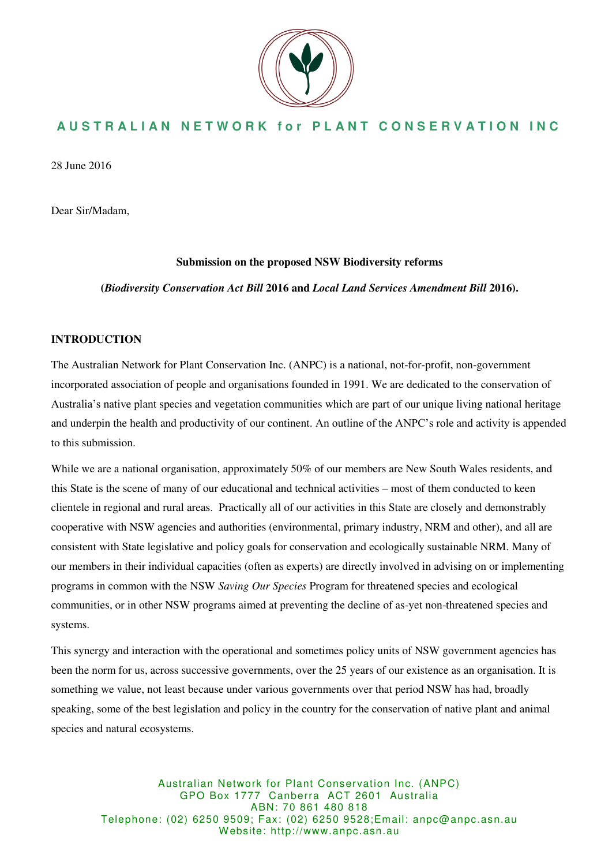

## **AUSTRALIAN NETWORK for PLANT CONSERVATION INC**

28 June 2016

Dear Sir/Madam,

### **Submission on the proposed NSW Biodiversity reforms**

**(***Biodiversity Conservation Act Bill* **2016 and** *Local Land Services Amendment Bill* **2016).** 

### **INTRODUCTION**

The Australian Network for Plant Conservation Inc. (ANPC) is a national, not-for-profit, non-government incorporated association of people and organisations founded in 1991. We are dedicated to the conservation of Australia's native plant species and vegetation communities which are part of our unique living national heritage and underpin the health and productivity of our continent. An outline of the ANPC's role and activity is appended to this submission.

While we are a national organisation, approximately 50% of our members are New South Wales residents, and this State is the scene of many of our educational and technical activities – most of them conducted to keen clientele in regional and rural areas. Practically all of our activities in this State are closely and demonstrably cooperative with NSW agencies and authorities (environmental, primary industry, NRM and other), and all are consistent with State legislative and policy goals for conservation and ecologically sustainable NRM. Many of our members in their individual capacities (often as experts) are directly involved in advising on or implementing programs in common with the NSW *Saving Our Species* Program for threatened species and ecological communities, or in other NSW programs aimed at preventing the decline of as-yet non-threatened species and systems.

This synergy and interaction with the operational and sometimes policy units of NSW government agencies has been the norm for us, across successive governments, over the 25 years of our existence as an organisation. It is something we value, not least because under various governments over that period NSW has had, broadly speaking, some of the best legislation and policy in the country for the conservation of native plant and animal species and natural ecosystems.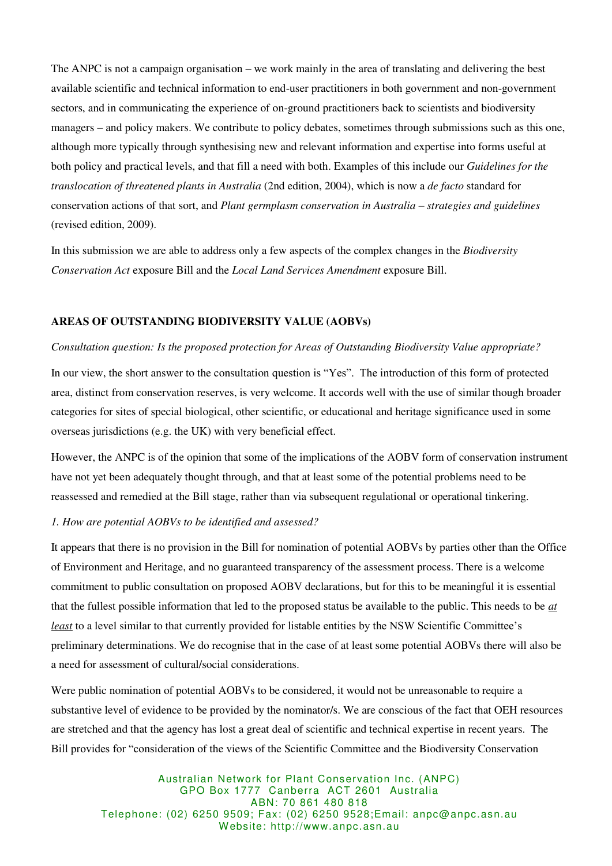The ANPC is not a campaign organisation – we work mainly in the area of translating and delivering the best available scientific and technical information to end-user practitioners in both government and non-government sectors, and in communicating the experience of on-ground practitioners back to scientists and biodiversity managers – and policy makers. We contribute to policy debates, sometimes through submissions such as this one, although more typically through synthesising new and relevant information and expertise into forms useful at both policy and practical levels, and that fill a need with both. Examples of this include our *Guidelines for the translocation of threatened plants in Australia* (2nd edition, 2004), which is now a *de facto* standard for conservation actions of that sort, and *Plant germplasm conservation in Australia – strategies and guidelines* (revised edition, 2009).

In this submission we are able to address only a few aspects of the complex changes in the *Biodiversity Conservation Act* exposure Bill and the *Local Land Services Amendment* exposure Bill.

### **AREAS OF OUTSTANDING BIODIVERSITY VALUE (AOBVs)**

### *Consultation question: Is the proposed protection for Areas of Outstanding Biodiversity Value appropriate?*

In our view, the short answer to the consultation question is "Yes". The introduction of this form of protected area, distinct from conservation reserves, is very welcome. It accords well with the use of similar though broader categories for sites of special biological, other scientific, or educational and heritage significance used in some overseas jurisdictions (e.g. the UK) with very beneficial effect.

However, the ANPC is of the opinion that some of the implications of the AOBV form of conservation instrument have not yet been adequately thought through, and that at least some of the potential problems need to be reassessed and remedied at the Bill stage, rather than via subsequent regulational or operational tinkering.

### *1. How are potential AOBVs to be identified and assessed?*

It appears that there is no provision in the Bill for nomination of potential AOBVs by parties other than the Office of Environment and Heritage, and no guaranteed transparency of the assessment process. There is a welcome commitment to public consultation on proposed AOBV declarations, but for this to be meaningful it is essential that the fullest possible information that led to the proposed status be available to the public. This needs to be *at least* to a level similar to that currently provided for listable entities by the NSW Scientific Committee's preliminary determinations. We do recognise that in the case of at least some potential AOBVs there will also be a need for assessment of cultural/social considerations.

Were public nomination of potential AOBVs to be considered, it would not be unreasonable to require a substantive level of evidence to be provided by the nominator/s. We are conscious of the fact that OEH resources are stretched and that the agency has lost a great deal of scientific and technical expertise in recent years. The Bill provides for "consideration of the views of the Scientific Committee and the Biodiversity Conservation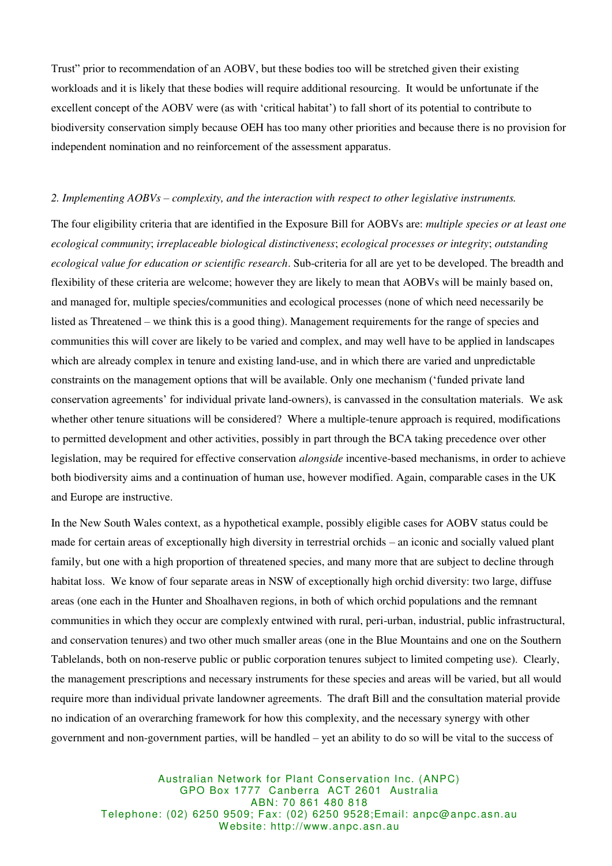Trust" prior to recommendation of an AOBV, but these bodies too will be stretched given their existing workloads and it is likely that these bodies will require additional resourcing. It would be unfortunate if the excellent concept of the AOBV were (as with 'critical habitat') to fall short of its potential to contribute to biodiversity conservation simply because OEH has too many other priorities and because there is no provision for independent nomination and no reinforcement of the assessment apparatus.

#### *2. Implementing AOBVs – complexity, and the interaction with respect to other legislative instruments.*

The four eligibility criteria that are identified in the Exposure Bill for AOBVs are: *multiple species or at least one ecological community*; *irreplaceable biological distinctiveness*; *ecological processes or integrity*; *outstanding ecological value for education or scientific research*. Sub-criteria for all are yet to be developed. The breadth and flexibility of these criteria are welcome; however they are likely to mean that AOBVs will be mainly based on, and managed for, multiple species/communities and ecological processes (none of which need necessarily be listed as Threatened – we think this is a good thing). Management requirements for the range of species and communities this will cover are likely to be varied and complex, and may well have to be applied in landscapes which are already complex in tenure and existing land-use, and in which there are varied and unpredictable constraints on the management options that will be available. Only one mechanism ('funded private land conservation agreements' for individual private land-owners), is canvassed in the consultation materials. We ask whether other tenure situations will be considered? Where a multiple-tenure approach is required, modifications to permitted development and other activities, possibly in part through the BCA taking precedence over other legislation, may be required for effective conservation *alongside* incentive-based mechanisms, in order to achieve both biodiversity aims and a continuation of human use, however modified. Again, comparable cases in the UK and Europe are instructive.

In the New South Wales context, as a hypothetical example, possibly eligible cases for AOBV status could be made for certain areas of exceptionally high diversity in terrestrial orchids – an iconic and socially valued plant family, but one with a high proportion of threatened species, and many more that are subject to decline through habitat loss. We know of four separate areas in NSW of exceptionally high orchid diversity: two large, diffuse areas (one each in the Hunter and Shoalhaven regions, in both of which orchid populations and the remnant communities in which they occur are complexly entwined with rural, peri-urban, industrial, public infrastructural, and conservation tenures) and two other much smaller areas (one in the Blue Mountains and one on the Southern Tablelands, both on non-reserve public or public corporation tenures subject to limited competing use). Clearly, the management prescriptions and necessary instruments for these species and areas will be varied, but all would require more than individual private landowner agreements. The draft Bill and the consultation material provide no indication of an overarching framework for how this complexity, and the necessary synergy with other government and non-government parties, will be handled – yet an ability to do so will be vital to the success of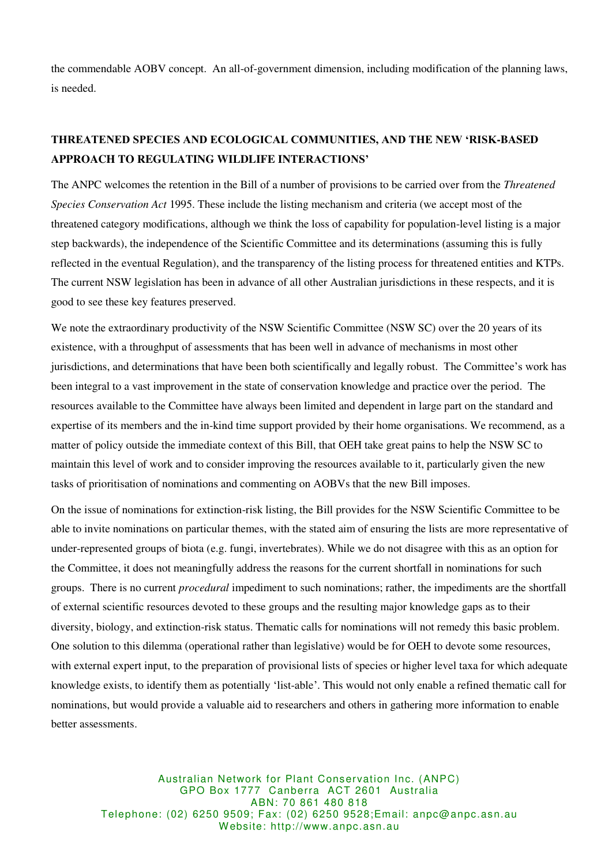the commendable AOBV concept. An all-of-government dimension, including modification of the planning laws, is needed.

# **THREATENED SPECIES AND ECOLOGICAL COMMUNITIES, AND THE NEW 'RISK-BASED APPROACH TO REGULATING WILDLIFE INTERACTIONS'**

The ANPC welcomes the retention in the Bill of a number of provisions to be carried over from the *Threatened Species Conservation Act* 1995. These include the listing mechanism and criteria (we accept most of the threatened category modifications, although we think the loss of capability for population-level listing is a major step backwards), the independence of the Scientific Committee and its determinations (assuming this is fully reflected in the eventual Regulation), and the transparency of the listing process for threatened entities and KTPs. The current NSW legislation has been in advance of all other Australian jurisdictions in these respects, and it is good to see these key features preserved.

We note the extraordinary productivity of the NSW Scientific Committee (NSW SC) over the 20 years of its existence, with a throughput of assessments that has been well in advance of mechanisms in most other jurisdictions, and determinations that have been both scientifically and legally robust. The Committee's work has been integral to a vast improvement in the state of conservation knowledge and practice over the period. The resources available to the Committee have always been limited and dependent in large part on the standard and expertise of its members and the in-kind time support provided by their home organisations. We recommend, as a matter of policy outside the immediate context of this Bill, that OEH take great pains to help the NSW SC to maintain this level of work and to consider improving the resources available to it, particularly given the new tasks of prioritisation of nominations and commenting on AOBVs that the new Bill imposes.

On the issue of nominations for extinction-risk listing, the Bill provides for the NSW Scientific Committee to be able to invite nominations on particular themes, with the stated aim of ensuring the lists are more representative of under-represented groups of biota (e.g. fungi, invertebrates). While we do not disagree with this as an option for the Committee, it does not meaningfully address the reasons for the current shortfall in nominations for such groups. There is no current *procedural* impediment to such nominations; rather, the impediments are the shortfall of external scientific resources devoted to these groups and the resulting major knowledge gaps as to their diversity, biology, and extinction-risk status. Thematic calls for nominations will not remedy this basic problem. One solution to this dilemma (operational rather than legislative) would be for OEH to devote some resources, with external expert input, to the preparation of provisional lists of species or higher level taxa for which adequate knowledge exists, to identify them as potentially 'list-able'. This would not only enable a refined thematic call for nominations, but would provide a valuable aid to researchers and others in gathering more information to enable better assessments.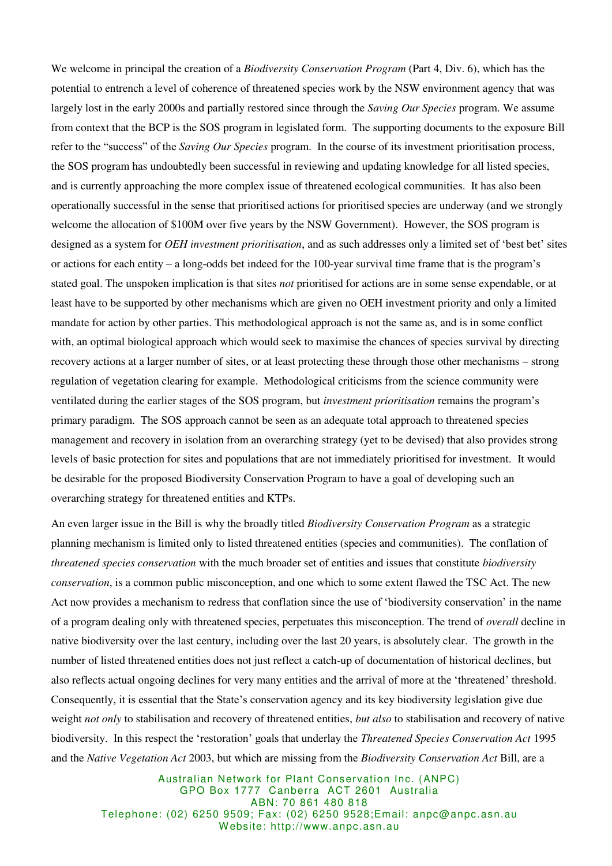We welcome in principal the creation of a *Biodiversity Conservation Program* (Part 4, Div. 6), which has the potential to entrench a level of coherence of threatened species work by the NSW environment agency that was largely lost in the early 2000s and partially restored since through the *Saving Our Species* program. We assume from context that the BCP is the SOS program in legislated form. The supporting documents to the exposure Bill refer to the "success" of the *Saving Our Species* program. In the course of its investment prioritisation process, the SOS program has undoubtedly been successful in reviewing and updating knowledge for all listed species, and is currently approaching the more complex issue of threatened ecological communities. It has also been operationally successful in the sense that prioritised actions for prioritised species are underway (and we strongly welcome the allocation of \$100M over five years by the NSW Government). However, the SOS program is designed as a system for *OEH investment prioritisation*, and as such addresses only a limited set of 'best bet' sites or actions for each entity – a long-odds bet indeed for the 100-year survival time frame that is the program's stated goal. The unspoken implication is that sites *not* prioritised for actions are in some sense expendable, or at least have to be supported by other mechanisms which are given no OEH investment priority and only a limited mandate for action by other parties. This methodological approach is not the same as, and is in some conflict with, an optimal biological approach which would seek to maximise the chances of species survival by directing recovery actions at a larger number of sites, or at least protecting these through those other mechanisms – strong regulation of vegetation clearing for example. Methodological criticisms from the science community were ventilated during the earlier stages of the SOS program, but *investment prioritisation* remains the program's primary paradigm. The SOS approach cannot be seen as an adequate total approach to threatened species management and recovery in isolation from an overarching strategy (yet to be devised) that also provides strong levels of basic protection for sites and populations that are not immediately prioritised for investment. It would be desirable for the proposed Biodiversity Conservation Program to have a goal of developing such an overarching strategy for threatened entities and KTPs.

An even larger issue in the Bill is why the broadly titled *Biodiversity Conservation Program* as a strategic planning mechanism is limited only to listed threatened entities (species and communities). The conflation of *threatened species conservation* with the much broader set of entities and issues that constitute *biodiversity conservation*, is a common public misconception, and one which to some extent flawed the TSC Act. The new Act now provides a mechanism to redress that conflation since the use of 'biodiversity conservation' in the name of a program dealing only with threatened species, perpetuates this misconception. The trend of *overall* decline in native biodiversity over the last century, including over the last 20 years, is absolutely clear. The growth in the number of listed threatened entities does not just reflect a catch-up of documentation of historical declines, but also reflects actual ongoing declines for very many entities and the arrival of more at the 'threatened' threshold. Consequently, it is essential that the State's conservation agency and its key biodiversity legislation give due weight *not only* to stabilisation and recovery of threatened entities, *but also* to stabilisation and recovery of native biodiversity. In this respect the 'restoration' goals that underlay the *Threatened Species Conservation Act* 1995 and the *Native Vegetation Act* 2003, but which are missing from the *Biodiversity Conservation Act* Bill, are a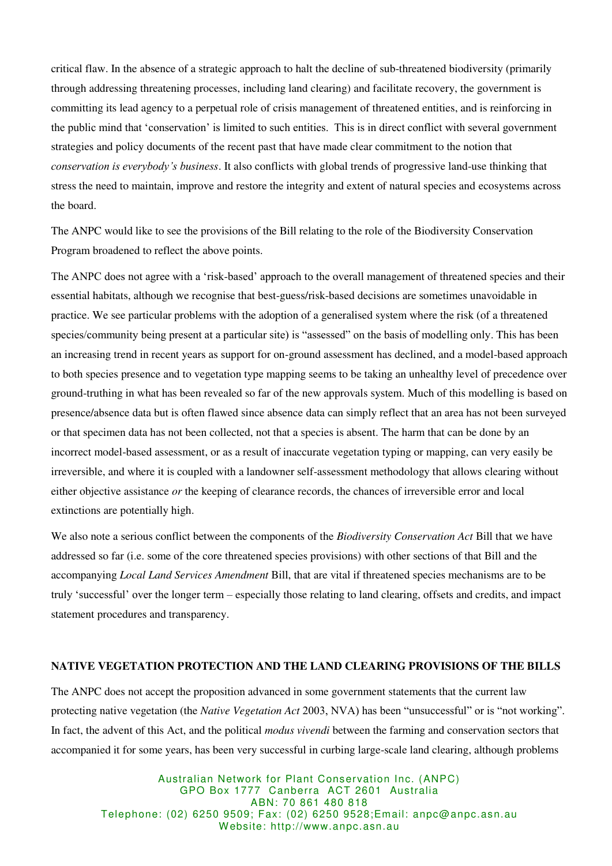critical flaw. In the absence of a strategic approach to halt the decline of sub-threatened biodiversity (primarily through addressing threatening processes, including land clearing) and facilitate recovery, the government is committing its lead agency to a perpetual role of crisis management of threatened entities, and is reinforcing in the public mind that 'conservation' is limited to such entities. This is in direct conflict with several government strategies and policy documents of the recent past that have made clear commitment to the notion that *conservation is everybody's business*. It also conflicts with global trends of progressive land-use thinking that stress the need to maintain, improve and restore the integrity and extent of natural species and ecosystems across the board.

The ANPC would like to see the provisions of the Bill relating to the role of the Biodiversity Conservation Program broadened to reflect the above points.

The ANPC does not agree with a 'risk-based' approach to the overall management of threatened species and their essential habitats, although we recognise that best-guess/risk-based decisions are sometimes unavoidable in practice. We see particular problems with the adoption of a generalised system where the risk (of a threatened species/community being present at a particular site) is "assessed" on the basis of modelling only. This has been an increasing trend in recent years as support for on-ground assessment has declined, and a model-based approach to both species presence and to vegetation type mapping seems to be taking an unhealthy level of precedence over ground-truthing in what has been revealed so far of the new approvals system. Much of this modelling is based on presence/absence data but is often flawed since absence data can simply reflect that an area has not been surveyed or that specimen data has not been collected, not that a species is absent. The harm that can be done by an incorrect model-based assessment, or as a result of inaccurate vegetation typing or mapping, can very easily be irreversible, and where it is coupled with a landowner self-assessment methodology that allows clearing without either objective assistance *or* the keeping of clearance records, the chances of irreversible error and local extinctions are potentially high.

We also note a serious conflict between the components of the *Biodiversity Conservation Act* Bill that we have addressed so far (i.e. some of the core threatened species provisions) with other sections of that Bill and the accompanying *Local Land Services Amendment* Bill, that are vital if threatened species mechanisms are to be truly 'successful' over the longer term – especially those relating to land clearing, offsets and credits, and impact statement procedures and transparency.

### **NATIVE VEGETATION PROTECTION AND THE LAND CLEARING PROVISIONS OF THE BILLS**

The ANPC does not accept the proposition advanced in some government statements that the current law protecting native vegetation (the *Native Vegetation Act* 2003, NVA) has been "unsuccessful" or is "not working". In fact, the advent of this Act, and the political *modus vivendi* between the farming and conservation sectors that accompanied it for some years, has been very successful in curbing large-scale land clearing, although problems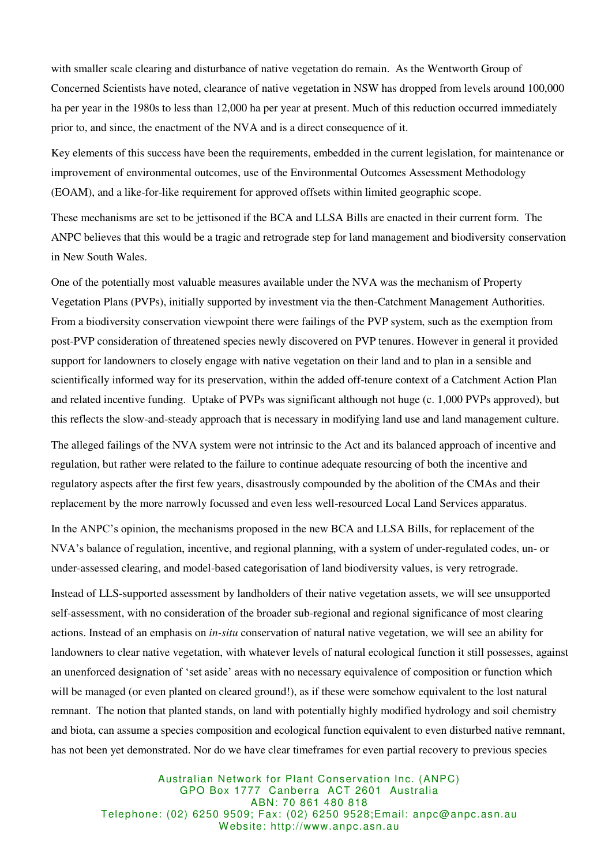with smaller scale clearing and disturbance of native vegetation do remain. As the Wentworth Group of Concerned Scientists have noted, clearance of native vegetation in NSW has dropped from levels around 100,000 ha per year in the 1980s to less than 12,000 ha per year at present. Much of this reduction occurred immediately prior to, and since, the enactment of the NVA and is a direct consequence of it.

Key elements of this success have been the requirements, embedded in the current legislation, for maintenance or improvement of environmental outcomes, use of the Environmental Outcomes Assessment Methodology (EOAM), and a like-for-like requirement for approved offsets within limited geographic scope.

These mechanisms are set to be jettisoned if the BCA and LLSA Bills are enacted in their current form. The ANPC believes that this would be a tragic and retrograde step for land management and biodiversity conservation in New South Wales.

One of the potentially most valuable measures available under the NVA was the mechanism of Property Vegetation Plans (PVPs), initially supported by investment via the then-Catchment Management Authorities. From a biodiversity conservation viewpoint there were failings of the PVP system, such as the exemption from post-PVP consideration of threatened species newly discovered on PVP tenures. However in general it provided support for landowners to closely engage with native vegetation on their land and to plan in a sensible and scientifically informed way for its preservation, within the added off-tenure context of a Catchment Action Plan and related incentive funding. Uptake of PVPs was significant although not huge (c. 1,000 PVPs approved), but this reflects the slow-and-steady approach that is necessary in modifying land use and land management culture.

The alleged failings of the NVA system were not intrinsic to the Act and its balanced approach of incentive and regulation, but rather were related to the failure to continue adequate resourcing of both the incentive and regulatory aspects after the first few years, disastrously compounded by the abolition of the CMAs and their replacement by the more narrowly focussed and even less well-resourced Local Land Services apparatus.

In the ANPC's opinion, the mechanisms proposed in the new BCA and LLSA Bills, for replacement of the NVA's balance of regulation, incentive, and regional planning, with a system of under-regulated codes, un- or under-assessed clearing, and model-based categorisation of land biodiversity values, is very retrograde.

Instead of LLS-supported assessment by landholders of their native vegetation assets, we will see unsupported self-assessment, with no consideration of the broader sub-regional and regional significance of most clearing actions. Instead of an emphasis on *in-situ* conservation of natural native vegetation, we will see an ability for landowners to clear native vegetation, with whatever levels of natural ecological function it still possesses, against an unenforced designation of 'set aside' areas with no necessary equivalence of composition or function which will be managed (or even planted on cleared ground!), as if these were somehow equivalent to the lost natural remnant. The notion that planted stands, on land with potentially highly modified hydrology and soil chemistry and biota, can assume a species composition and ecological function equivalent to even disturbed native remnant, has not been yet demonstrated. Nor do we have clear timeframes for even partial recovery to previous species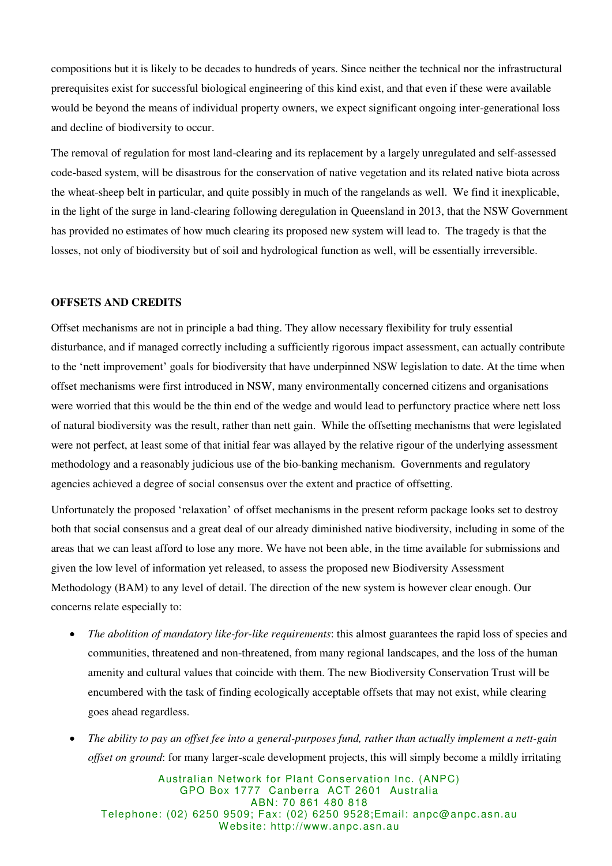compositions but it is likely to be decades to hundreds of years. Since neither the technical nor the infrastructural prerequisites exist for successful biological engineering of this kind exist, and that even if these were available would be beyond the means of individual property owners, we expect significant ongoing inter-generational loss and decline of biodiversity to occur.

The removal of regulation for most land-clearing and its replacement by a largely unregulated and self-assessed code-based system, will be disastrous for the conservation of native vegetation and its related native biota across the wheat-sheep belt in particular, and quite possibly in much of the rangelands as well. We find it inexplicable, in the light of the surge in land-clearing following deregulation in Queensland in 2013, that the NSW Government has provided no estimates of how much clearing its proposed new system will lead to. The tragedy is that the losses, not only of biodiversity but of soil and hydrological function as well, will be essentially irreversible.

### **OFFSETS AND CREDITS**

Offset mechanisms are not in principle a bad thing. They allow necessary flexibility for truly essential disturbance, and if managed correctly including a sufficiently rigorous impact assessment, can actually contribute to the 'nett improvement' goals for biodiversity that have underpinned NSW legislation to date. At the time when offset mechanisms were first introduced in NSW, many environmentally concerned citizens and organisations were worried that this would be the thin end of the wedge and would lead to perfunctory practice where nett loss of natural biodiversity was the result, rather than nett gain. While the offsetting mechanisms that were legislated were not perfect, at least some of that initial fear was allayed by the relative rigour of the underlying assessment methodology and a reasonably judicious use of the bio-banking mechanism. Governments and regulatory agencies achieved a degree of social consensus over the extent and practice of offsetting.

Unfortunately the proposed 'relaxation' of offset mechanisms in the present reform package looks set to destroy both that social consensus and a great deal of our already diminished native biodiversity, including in some of the areas that we can least afford to lose any more. We have not been able, in the time available for submissions and given the low level of information yet released, to assess the proposed new Biodiversity Assessment Methodology (BAM) to any level of detail. The direction of the new system is however clear enough. Our concerns relate especially to:

- *The abolition of mandatory like-for-like requirements*: this almost guarantees the rapid loss of species and communities, threatened and non-threatened, from many regional landscapes, and the loss of the human amenity and cultural values that coincide with them. The new Biodiversity Conservation Trust will be encumbered with the task of finding ecologically acceptable offsets that may not exist, while clearing goes ahead regardless.
- *The ability to pay an offset fee into a general-purposes fund, rather than actually implement a nett-gain offset on ground*: for many larger-scale development projects, this will simply become a mildly irritating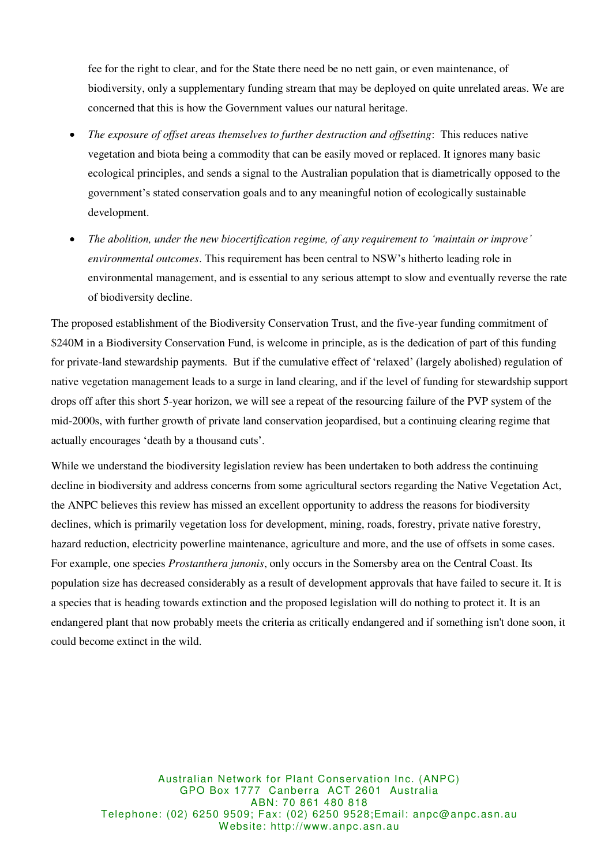fee for the right to clear, and for the State there need be no nett gain, or even maintenance, of biodiversity, only a supplementary funding stream that may be deployed on quite unrelated areas. We are concerned that this is how the Government values our natural heritage.

- *The exposure of offset areas themselves to further destruction and offsetting*: This reduces native vegetation and biota being a commodity that can be easily moved or replaced. It ignores many basic ecological principles, and sends a signal to the Australian population that is diametrically opposed to the government's stated conservation goals and to any meaningful notion of ecologically sustainable development.
- *The abolition, under the new biocertification regime, of any requirement to 'maintain or improve' environmental outcomes*. This requirement has been central to NSW's hitherto leading role in environmental management, and is essential to any serious attempt to slow and eventually reverse the rate of biodiversity decline.

The proposed establishment of the Biodiversity Conservation Trust, and the five-year funding commitment of \$240M in a Biodiversity Conservation Fund, is welcome in principle, as is the dedication of part of this funding for private-land stewardship payments. But if the cumulative effect of 'relaxed' (largely abolished) regulation of native vegetation management leads to a surge in land clearing, and if the level of funding for stewardship support drops off after this short 5-year horizon, we will see a repeat of the resourcing failure of the PVP system of the mid-2000s, with further growth of private land conservation jeopardised, but a continuing clearing regime that actually encourages 'death by a thousand cuts'.

While we understand the biodiversity legislation review has been undertaken to both address the continuing decline in biodiversity and address concerns from some agricultural sectors regarding the Native Vegetation Act, the ANPC believes this review has missed an excellent opportunity to address the reasons for biodiversity declines, which is primarily vegetation loss for development, mining, roads, forestry, private native forestry, hazard reduction, electricity powerline maintenance, agriculture and more, and the use of offsets in some cases. For example, one species *Prostanthera junonis*, only occurs in the Somersby area on the Central Coast. Its population size has decreased considerably as a result of development approvals that have failed to secure it. It is a species that is heading towards extinction and the proposed legislation will do nothing to protect it. It is an endangered plant that now probably meets the criteria as critically endangered and if something isn't done soon, it could become extinct in the wild.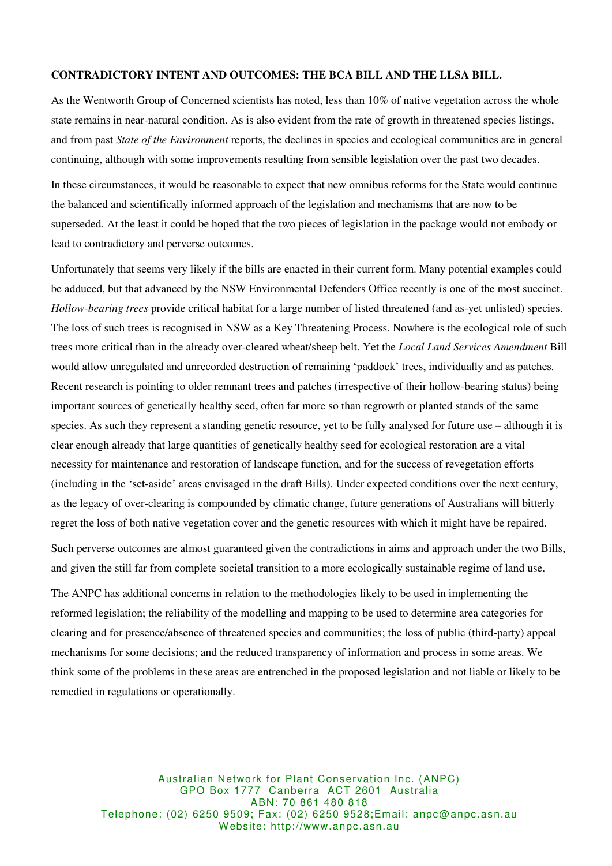### **CONTRADICTORY INTENT AND OUTCOMES: THE BCA BILL AND THE LLSA BILL.**

As the Wentworth Group of Concerned scientists has noted, less than 10% of native vegetation across the whole state remains in near-natural condition. As is also evident from the rate of growth in threatened species listings, and from past *State of the Environment* reports, the declines in species and ecological communities are in general continuing, although with some improvements resulting from sensible legislation over the past two decades.

In these circumstances, it would be reasonable to expect that new omnibus reforms for the State would continue the balanced and scientifically informed approach of the legislation and mechanisms that are now to be superseded. At the least it could be hoped that the two pieces of legislation in the package would not embody or lead to contradictory and perverse outcomes.

Unfortunately that seems very likely if the bills are enacted in their current form. Many potential examples could be adduced, but that advanced by the NSW Environmental Defenders Office recently is one of the most succinct. *Hollow-bearing trees* provide critical habitat for a large number of listed threatened (and as-yet unlisted) species. The loss of such trees is recognised in NSW as a Key Threatening Process. Nowhere is the ecological role of such trees more critical than in the already over-cleared wheat/sheep belt. Yet the *Local Land Services Amendment* Bill would allow unregulated and unrecorded destruction of remaining 'paddock' trees, individually and as patches. Recent research is pointing to older remnant trees and patches (irrespective of their hollow-bearing status) being important sources of genetically healthy seed, often far more so than regrowth or planted stands of the same species. As such they represent a standing genetic resource, yet to be fully analysed for future use – although it is clear enough already that large quantities of genetically healthy seed for ecological restoration are a vital necessity for maintenance and restoration of landscape function, and for the success of revegetation efforts (including in the 'set-aside' areas envisaged in the draft Bills). Under expected conditions over the next century, as the legacy of over-clearing is compounded by climatic change, future generations of Australians will bitterly regret the loss of both native vegetation cover and the genetic resources with which it might have be repaired.

Such perverse outcomes are almost guaranteed given the contradictions in aims and approach under the two Bills, and given the still far from complete societal transition to a more ecologically sustainable regime of land use.

The ANPC has additional concerns in relation to the methodologies likely to be used in implementing the reformed legislation; the reliability of the modelling and mapping to be used to determine area categories for clearing and for presence/absence of threatened species and communities; the loss of public (third-party) appeal mechanisms for some decisions; and the reduced transparency of information and process in some areas. We think some of the problems in these areas are entrenched in the proposed legislation and not liable or likely to be remedied in regulations or operationally.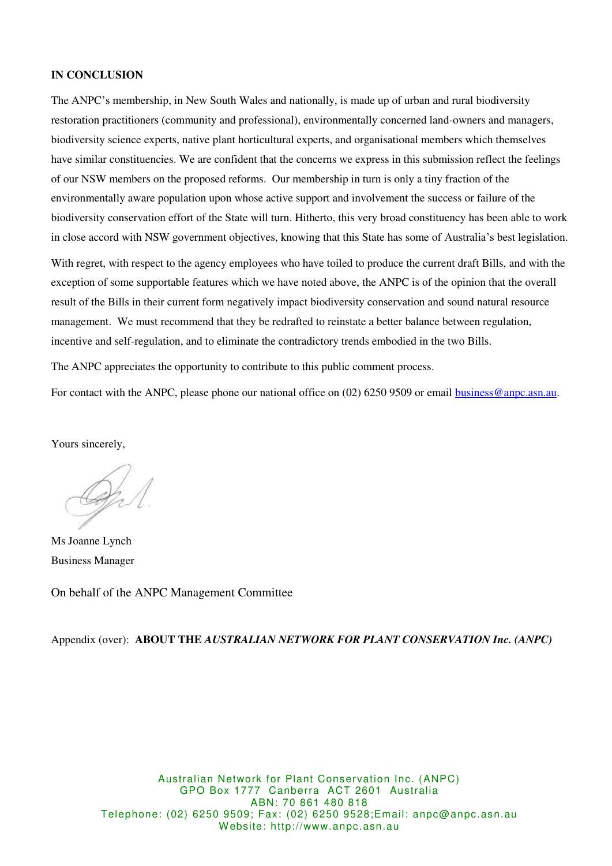### **IN CONCLUSION**

The ANPC's membership, in New South Wales and nationally, is made up of urban and rural biodiversity restoration practitioners (community and professional), environmentally concerned land-owners and managers, biodiversity science experts, native plant horticultural experts, and organisational members which themselves have similar constituencies. We are confident that the concerns we express in this submission reflect the feelings of our NSW members on the proposed reforms. Our membership in turn is only a tiny fraction of the environmentally aware population upon whose active support and involvement the success or failure of the biodiversity conservation effort of the State will turn. Hitherto, this very broad constituency has been able to work in close accord with NSW government objectives, knowing that this State has some of Australia's best legislation.

With regret, with respect to the agency employees who have toiled to produce the current draft Bills, and with the exception of some supportable features which we have noted above, the ANPC is of the opinion that the overall result of the Bills in their current form negatively impact biodiversity conservation and sound natural resource management. We must recommend that they be redrafted to reinstate a better balance between regulation, incentive and self-regulation, and to eliminate the contradictory trends embodied in the two Bills.

The ANPC appreciates the opportunity to contribute to this public comment process.

For contact with the ANPC, please phone our national office on (02) 6250 9509 or email [business@anpc.asn.au.](mailto:business@anpc.asn.au)

Yours sincerely,

Ms Joanne Lynch Business Manager

On behalf of the ANPC Management Committee

Appendix (over): **ABOUT THE** *AUSTRALIAN NETWORK FOR PLANT CONSERVATION Inc. (ANPC)*